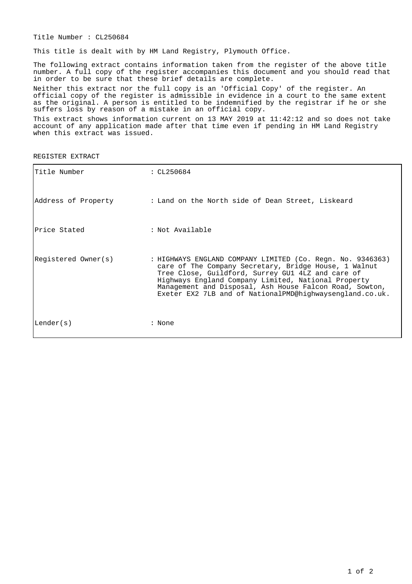Title Number : CL250684

This title is dealt with by HM Land Registry, Plymouth Office.

The following extract contains information taken from the register of the above title number. A full copy of the register accompanies this document and you should read that in order to be sure that these brief details are complete.

Neither this extract nor the full copy is an 'Official Copy' of the register. An official copy of the register is admissible in evidence in a court to the same extent as the original. A person is entitled to be indemnified by the registrar if he or she suffers loss by reason of a mistake in an official copy.

This extract shows information current on 13 MAY 2019 at 11:42:12 and so does not take account of any application made after that time even if pending in HM Land Registry when this extract was issued.

REGISTER EXTRACT

| Title Number        | : CL250684                                                                                                                                                                                                                                                                                                                                             |
|---------------------|--------------------------------------------------------------------------------------------------------------------------------------------------------------------------------------------------------------------------------------------------------------------------------------------------------------------------------------------------------|
| Address of Property | : Land on the North side of Dean Street, Liskeard                                                                                                                                                                                                                                                                                                      |
| lPrice Stated       | : Not Available                                                                                                                                                                                                                                                                                                                                        |
| Registered Owner(s) | : HIGHWAYS ENGLAND COMPANY LIMITED (Co. Regn. No. 9346363)<br>care of The Company Secretary, Bridge House, 1 Walnut<br>Tree Close, Guildford, Surrey GU1 4LZ and care of<br>Highways England Company Limited, National Property<br>Management and Disposal, Ash House Falcon Road, Sowton,<br>Exeter EX2 7LB and of NationalPMD@highwaysengland.co.uk. |
| Lender(s)           | : None                                                                                                                                                                                                                                                                                                                                                 |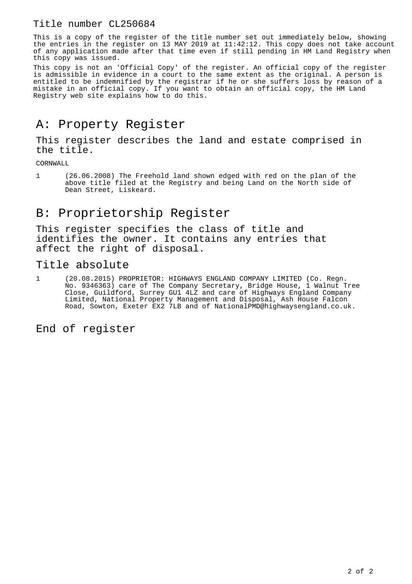#### Title number CL250684

This is a copy of the register of the title number set out immediately below, showing the entries in the register on 13 MAY 2019 at 11:42:12. This copy does not take account of any application made after that time even if still pending in HM Land Registry when this copy was issued.

This copy is not an 'Official Copy' of the register. An official copy of the register is admissible in evidence in a court to the same extent as the original. A person is entitled to be indemnified by the registrar if he or she suffers loss by reason of a mistake in an official copy. If you want to obtain an official copy, the HM Land Registry web site explains how to do this.

### A: Property Register

This register describes the land and estate comprised in the title.

CORNWALL

1 (26.06.2008) The Freehold land shown edged with red on the plan of the above title filed at the Registry and being Land on the North side of Dean Street, Liskeard.

## B: Proprietorship Register

This register specifies the class of title and identifies the owner. It contains any entries that affect the right of disposal.

#### Title absolute

1 (20.08.2015) PROPRIETOR: HIGHWAYS ENGLAND COMPANY LIMITED (Co. Regn. No. 9346363) care of The Company Secretary, Bridge House, 1 Walnut Tree Close, Guildford, Surrey GU1 4LZ and care of Highways England Company Limited, National Property Management and Disposal, Ash House Falcon Road, Sowton, Exeter EX2 7LB and of NationalPMD@highwaysengland.co.uk.

End of register